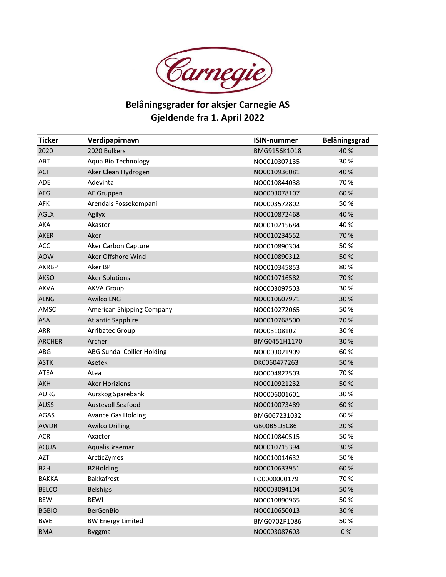

## Belåningsgrader for aksjer Carnegie AS Gjeldende fra 1. April 2022

| <b>Ticker</b>    | Verdipapirnavn                    | <b>ISIN-nummer</b> | Belåningsgrad |
|------------------|-----------------------------------|--------------------|---------------|
| 2020             | 2020 Bulkers                      | BMG9156K1018       | 40 %          |
| <b>ABT</b>       | Aqua Bio Technology               | NO0010307135       | 30%           |
| <b>ACH</b>       | Aker Clean Hydrogen               | NO0010936081       | 40 %          |
| <b>ADE</b>       | Adevinta                          | NO0010844038       | 70%           |
| <b>AFG</b>       | AF Gruppen                        | NO0003078107       | 60%           |
| AFK              | Arendals Fossekompani             | NO0003572802       | 50%           |
| <b>AGLX</b>      | Agilyx                            | NO0010872468       | 40 %          |
| <b>AKA</b>       | Akastor                           | NO0010215684       | 40%           |
| AKER             | Aker                              | NO0010234552       | 70 %          |
| <b>ACC</b>       | Aker Carbon Capture               | NO0010890304       | 50%           |
| <b>AOW</b>       | Aker Offshore Wind                | NO0010890312       | 50%           |
| <b>AKRBP</b>     | Aker BP                           | NO0010345853       | 80%           |
| <b>AKSO</b>      | <b>Aker Solutions</b>             | NO0010716582       | 70 %          |
| <b>AKVA</b>      | <b>AKVA Group</b>                 | NO0003097503       | 30%           |
| <b>ALNG</b>      | <b>Awilco LNG</b>                 | NO0010607971       | 30%           |
| AMSC             | American Shipping Company         | NO0010272065       | 50%           |
| <b>ASA</b>       | <b>Atlantic Sapphire</b>          | NO0010768500       | 20%           |
| <b>ARR</b>       | Arribatec Group                   | NO003108102        | 30%           |
| <b>ARCHER</b>    | Archer                            | BMG0451H1170       | 30%           |
| ABG              | <b>ABG Sundal Collier Holding</b> | NO0003021909       | 60%           |
| <b>ASTK</b>      | Asetek                            | DK0060477263       | 50%           |
| <b>ATEA</b>      | Atea                              | NO0004822503       | 70%           |
| <b>AKH</b>       | <b>Aker Horizions</b>             | NO0010921232       | 50%           |
| <b>AURG</b>      | Aurskog Sparebank                 | NO0006001601       | 30%           |
| <b>AUSS</b>      | <b>Austevoll Seafood</b>          | NO0010073489       | 60%           |
| AGAS             | <b>Avance Gas Holding</b>         | BMG067231032       | 60%           |
| <b>AWDR</b>      | <b>Awilco Drilling</b>            | GB00B5LJSC86       | 20%           |
| <b>ACR</b>       | Axactor                           | NO0010840515       | 50%           |
| <b>AQUA</b>      | AqualisBraemar                    | NO0010715394       | 30%           |
| <b>AZT</b>       | ArcticZymes                       | NO0010014632       | 50%           |
| B <sub>2</sub> H | <b>B2Holding</b>                  | NO0010633951       | 60%           |
| <b>BAKKA</b>     | Bakkafrost                        | FO0000000179       | 70%           |
| <b>BELCO</b>     | <b>Belships</b>                   | NO0003094104       | 50%           |
| <b>BEWI</b>      | <b>BEWI</b>                       | NO0010890965       | 50%           |
| <b>BGBIO</b>     | <b>BerGenBio</b>                  | NO0010650013       | 30%           |
| <b>BWE</b>       | <b>BW Energy Limited</b>          | BMG0702P1086       | 50%           |
| <b>BMA</b>       | <b>Byggma</b>                     | NO0003087603       | 0%            |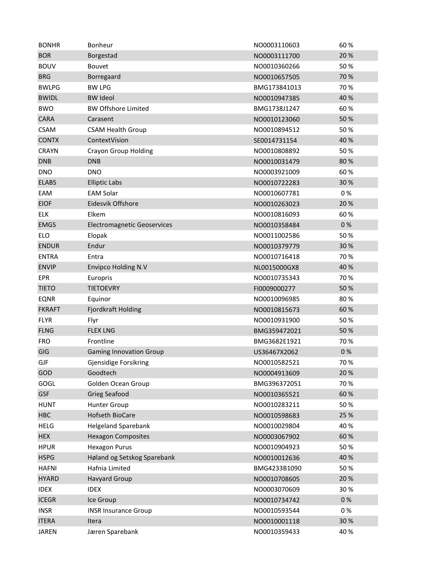| <b>BONHR</b>  | Bonheur                            | NO0003110603 | 60%  |
|---------------|------------------------------------|--------------|------|
| <b>BOR</b>    | Borgestad                          | NO0003111700 | 20%  |
| <b>BOUV</b>   | <b>Bouvet</b>                      | NO0010360266 | 50%  |
| <b>BRG</b>    | Borregaard                         | NO0010657505 | 70 % |
| <b>BWLPG</b>  | <b>BW LPG</b>                      | BMG173841013 | 70 % |
| <b>BWIDL</b>  | <b>BW Ideol</b>                    | NO0010947385 | 40 % |
| <b>BWO</b>    | <b>BW Offshore Limited</b>         | BMG1738J1247 | 60%  |
| CARA          | Carasent                           | NO0010123060 | 50 % |
| <b>CSAM</b>   | <b>CSAM Health Group</b>           | NO0010894512 | 50%  |
| <b>CONTX</b>  | ContextVision                      | SE0014731154 | 40 % |
| <b>CRAYN</b>  | <b>Crayon Group Holding</b>        | NO0010808892 | 50%  |
| <b>DNB</b>    | <b>DNB</b>                         | NO0010031479 | 80%  |
| <b>DNO</b>    | <b>DNO</b>                         | NO0003921009 | 60%  |
| <b>ELABS</b>  | <b>Elliptic Labs</b>               | NO0010722283 | 30%  |
| EAM           | <b>EAM Solar</b>                   | NO0010607781 | 0%   |
| <b>EIOF</b>   | Eidesvik Offshore                  | NO0010263023 | 20%  |
| <b>ELK</b>    | Elkem                              | NO0010816093 | 60%  |
| <b>EMGS</b>   | <b>Electromagnetic Geoservices</b> | NO0010358484 | 0%   |
| <b>ELO</b>    | Elopak                             | NO0011002586 | 50%  |
| <b>ENDUR</b>  | Endur                              | NO0010379779 | 30 % |
| <b>ENTRA</b>  | Entra                              | NO0010716418 | 70%  |
| <b>ENVIP</b>  | <b>Envipco Holding N.V</b>         | NL0015000GX8 | 40 % |
| EPR           | Europris                           | NO0010735343 | 70%  |
| <b>TIETO</b>  | <b>TIETOEVRY</b>                   | FI0009000277 | 50%  |
| <b>EQNR</b>   | Equinor                            | NO0010096985 | 80%  |
| <b>FKRAFT</b> | Fjordkraft Holding                 | NO0010815673 | 60%  |
| <b>FLYR</b>   | Flyr                               | NO0010931900 | 50%  |
| <b>FLNG</b>   | <b>FLEX LNG</b>                    | BMG359472021 | 50%  |
| <b>FRO</b>    | Frontline                          | BMG3682E1921 | 70%  |
| GIG           | <b>Gaming Innovation Group</b>     | US36467X2062 | 0%   |
| GJF           | <b>Gjensidige Forsikring</b>       | NO0010582521 | 70 % |
| GOD           | Goodtech                           | NO0004913609 | 20%  |
| GOGL          | Golden Ocean Group                 | BMG396372051 | 70%  |
| <b>GSF</b>    | <b>Grieg Seafood</b>               | NO0010365521 | 60%  |
| <b>HUNT</b>   | <b>Hunter Group</b>                | NO0010283211 | 50%  |
| <b>HBC</b>    | Hofseth BioCare                    | NO0010598683 | 25 % |
| <b>HELG</b>   | <b>Helgeland Sparebank</b>         | NO0010029804 | 40%  |
| <b>HEX</b>    | <b>Hexagon Composites</b>          | NO0003067902 | 60%  |
| <b>HPUR</b>   | <b>Hexagon Purus</b>               | NO0010904923 | 50%  |
| <b>HSPG</b>   | Høland og Setskog Sparebank        | NO0010012636 | 40 % |
| <b>HAFNI</b>  | Hafnia Limited                     | BMG4233B1090 | 50%  |
| <b>HYARD</b>  | <b>Havyard Group</b>               | NO0010708605 | 20%  |
| <b>IDEX</b>   | <b>IDEX</b>                        | NO0003070609 | 30%  |
| <b>ICEGR</b>  | Ice Group                          | NO0010734742 | 0%   |
| <b>INSR</b>   | <b>INSR Insurance Group</b>        | NO0010593544 | 0%   |
| <b>ITERA</b>  | Itera                              | NO0010001118 | 30%  |
| <b>JAREN</b>  | Jæren Sparebank                    | NO0010359433 | 40%  |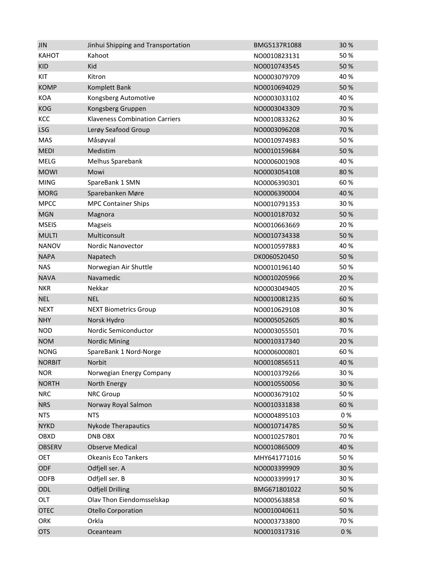| <b>JIN</b>    | Jinhui Shipping and Transportation    | BMG5137R1088 | 30%  |
|---------------|---------------------------------------|--------------|------|
| <b>KAHOT</b>  | Kahoot                                | NO0010823131 | 50%  |
| <b>KID</b>    | Kid                                   | NO0010743545 | 50%  |
| KIT           | Kitron                                | NO0003079709 | 40%  |
| <b>KOMP</b>   | Komplett Bank                         | NO0010694029 | 50%  |
| <b>KOA</b>    | Kongsberg Automotive                  | NO0003033102 | 40%  |
| <b>KOG</b>    | Kongsberg Gruppen                     | NO0003043309 | 70 % |
| KCC           | <b>Klaveness Combination Carriers</b> | NO0010833262 | 30%  |
| <b>LSG</b>    | Lerøy Seafood Group                   | NO0003096208 | 70 % |
| <b>MAS</b>    | Måsøyval                              | NO0010974983 | 50%  |
| <b>MEDI</b>   | Medistim                              | NO0010159684 | 50%  |
| <b>MELG</b>   | Melhus Sparebank                      | NO0006001908 | 40%  |
| <b>MOWI</b>   | Mowi                                  | NO0003054108 | 80%  |
| <b>MING</b>   | SpareBank 1 SMN                       | NO0006390301 | 60%  |
| <b>MORG</b>   | Sparebanken Møre                      | NO0006390004 | 40 % |
| <b>MPCC</b>   | <b>MPC Container Ships</b>            | NO0010791353 | 30%  |
| <b>MGN</b>    | Magnora                               | NO0010187032 | 50%  |
| <b>MSEIS</b>  | Magseis                               | NO0010663669 | 20%  |
| <b>MULTI</b>  | Multiconsult                          | NO0010734338 | 50%  |
| <b>NANOV</b>  | <b>Nordic Nanovector</b>              | NO0010597883 | 40%  |
| <b>NAPA</b>   | Napatech                              | DK0060520450 | 50%  |
| <b>NAS</b>    | Norwegian Air Shuttle                 | NO0010196140 | 50%  |
| <b>NAVA</b>   | Navamedic                             | NO0010205966 | 20%  |
| <b>NKR</b>    | Nekkar                                | NO0003049405 | 20%  |
| <b>NEL</b>    | <b>NEL</b>                            | NO0010081235 | 60%  |
| <b>NEXT</b>   | <b>NEXT Biometrics Group</b>          | NO0010629108 | 30%  |
| <b>NHY</b>    | Norsk Hydro                           | NO0005052605 | 80%  |
| <b>NOD</b>    | Nordic Semiconductor                  | NO0003055501 | 70%  |
| <b>NOM</b>    | <b>Nordic Mining</b>                  | NO0010317340 | 20%  |
| <b>NONG</b>   | SpareBank 1 Nord-Norge                | NO0006000801 | 60%  |
| <b>NORBIT</b> | <b>Norbit</b>                         | NO0010856511 | 40 % |
| <b>NOR</b>    | Norwegian Energy Company              | NO0010379266 | 30%  |
| <b>NORTH</b>  | North Energy                          | NO0010550056 | 30%  |
| <b>NRC</b>    | <b>NRC Group</b>                      | NO0003679102 | 50%  |
| <b>NRS</b>    | Norway Royal Salmon                   | NO0010331838 | 60%  |
| <b>NTS</b>    | <b>NTS</b>                            | NO0004895103 | 0%   |
| <b>NYKD</b>   | <b>Nykode Therapautics</b>            | NO0010714785 | 50%  |
| OBXD          | DNB OBX                               | NO0010257801 | 70%  |
| <b>OBSERV</b> | <b>Observe Medical</b>                | NO0010865009 | 40 % |
| <b>OET</b>    | <b>Okeanis Eco Tankers</b>            | MHY641771016 | 50%  |
| ODF           | Odfjell ser. A                        | NO0003399909 | 30%  |
| ODFB          | Odfjell ser. B                        | NO0003399917 | 30%  |
| ODL           | <b>Odfjell Drilling</b>               | BMG671801022 | 50 % |
| OLT           | Olav Thon Eiendomsselskap             | NO0005638858 | 60%  |
| <b>OTEC</b>   | <b>Otello Corporation</b>             | NO0010040611 | 50%  |
| ORK           | Orkla                                 | NO0003733800 | 70%  |
| <b>OTS</b>    | Oceanteam                             | NO0010317316 | 0%   |
|               |                                       |              |      |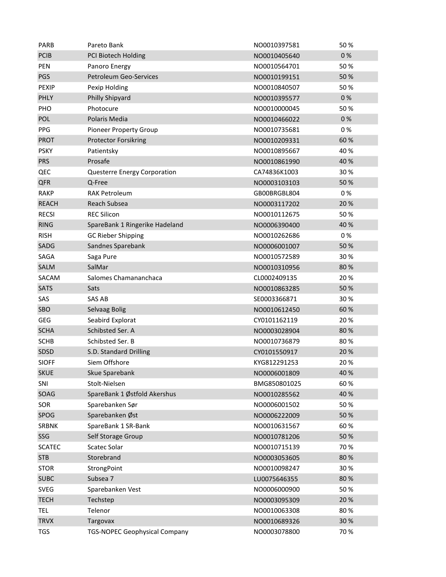| <b>PARB</b>   | Pareto Bank                          | NO0010397581 | 50%  |
|---------------|--------------------------------------|--------------|------|
| <b>PCIB</b>   | PCI Biotech Holding                  | NO0010405640 | 0%   |
| PEN           | Panoro Energy                        | NO0010564701 | 50%  |
| PGS           | Petroleum Geo-Services               | NO0010199151 | 50%  |
| <b>PEXIP</b>  | Pexip Holding                        | NO0010840507 | 50%  |
| <b>PHLY</b>   | Philly Shipyard                      | NO0010395577 | 0%   |
| PHO           | Photocure                            | NO0010000045 | 50%  |
| POL           | Polaris Media                        | NO0010466022 | 0%   |
| <b>PPG</b>    | <b>Pioneer Property Group</b>        | NO0010735681 | 0%   |
| <b>PROT</b>   | <b>Protector Forsikring</b>          | NO0010209331 | 60%  |
| <b>PSKY</b>   | Patientsky                           | NO0010895667 | 40%  |
| <b>PRS</b>    | Prosafe                              | NO0010861990 | 40 % |
| QEC           | Questerre Energy Corporation         | CA74836K1003 | 30%  |
| <b>QFR</b>    | Q-Free                               | NO0003103103 | 50 % |
| <b>RAKP</b>   | <b>RAK Petroleum</b>                 | GB00BRGBL804 | 0%   |
| <b>REACH</b>  | Reach Subsea                         | NO0003117202 | 20%  |
| <b>RECSI</b>  | <b>REC Silicon</b>                   | NO0010112675 | 50%  |
| <b>RING</b>   | SpareBank 1 Ringerike Hadeland       | NO0006390400 | 40 % |
| <b>RISH</b>   | <b>GC Rieber Shipping</b>            | NO0010262686 | 0%   |
| SADG          | Sandnes Sparebank                    | NO0006001007 | 50%  |
| SAGA          | Saga Pure                            | NO0010572589 | 30%  |
| SALM          | SalMar                               | NO0010310956 | 80%  |
| SACAM         | Salomes Chamananchaca                | CL0002409135 | 20%  |
| <b>SATS</b>   | Sats                                 | NO0010863285 | 50 % |
| SAS           | SAS AB                               | SE0003366871 | 30%  |
| SBO           | Selvaag Bolig                        | NO0010612450 | 60%  |
| <b>GEG</b>    | Seabird Explorat                     | CY0101162119 | 20%  |
| <b>SCHA</b>   | Schibsted Ser. A                     | NO0003028904 | 80%  |
| <b>SCHB</b>   | Schibsted Ser. B                     | NO0010736879 | 80%  |
| SDSD          | S.D. Standard Drilling               | CY0101550917 | 20%  |
| <b>SIOFF</b>  | Siem Offshore                        | KYG812291253 | 20%  |
| <b>SKUE</b>   | Skue Sparebank                       | NO0006001809 | 40 % |
| SNI           | Stolt-Nielsen                        | BMG850801025 | 60%  |
| SOAG          | SpareBank 1 Østfold Akershus         | NO0010285562 | 40 % |
| SOR           | Sparebanken Sør                      | NO0006001502 | 50%  |
| SPOG          | Sparebanken Øst                      | NO0006222009 | 50%  |
| <b>SRBNK</b>  | SpareBank 1 SR-Bank                  | NO0010631567 | 60%  |
| SSG           | Self Storage Group                   | NO0010781206 | 50%  |
| <b>SCATEC</b> | Scatec Solar                         | NO0010715139 | 70%  |
| <b>STB</b>    | Storebrand                           | NO0003053605 | 80%  |
| <b>STOR</b>   | StrongPoint                          | NO0010098247 | 30%  |
| <b>SUBC</b>   | Subsea 7                             | LU0075646355 | 80%  |
| <b>SVEG</b>   | Sparebanken Vest                     | NO0006000900 | 50%  |
| <b>TECH</b>   | Techstep                             | NO0003095309 | 20%  |
| <b>TEL</b>    | Telenor                              | NO0010063308 | 80%  |
| <b>TRVX</b>   | Targovax                             | NO0010689326 | 30 % |
| <b>TGS</b>    | <b>TGS-NOPEC Geophysical Company</b> | NO0003078800 | 70 % |